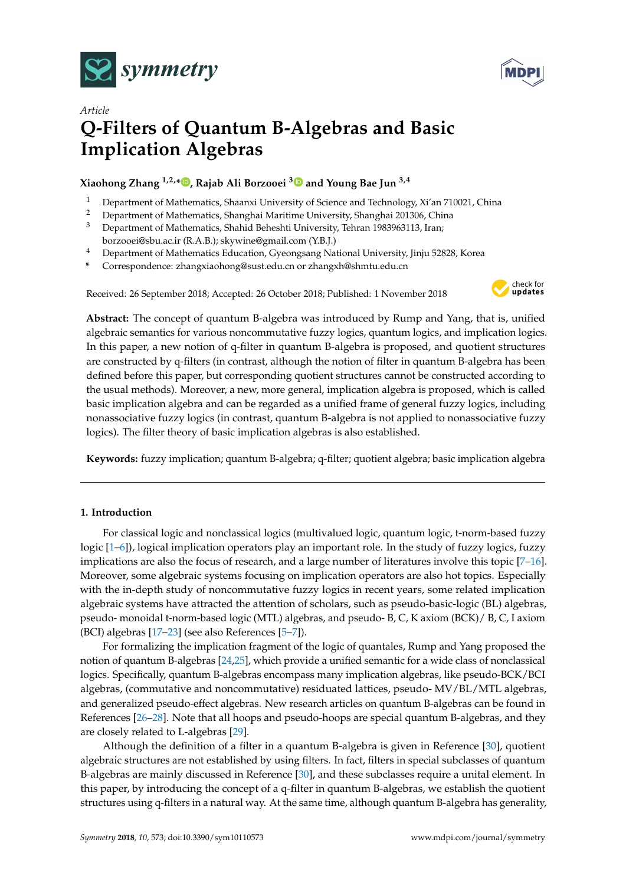



# *Article* **Q-Filters of Quantum B-Algebras and Basic Implication Algebras**

## **Xiaohong Zhang 1,2,[\\*](https://orcid.org/0000-0003-2320-0884) , Rajab Ali Borzooei [3](https://orcid.org/0000-0001-7538-7885) and Young Bae Jun 3,4**

- <sup>1</sup> Department of Mathematics, Shaanxi University of Science and Technology, Xi'an 710021, China<br><sup>2</sup> Department of Mathematics, Shanghai Maritime University Shanghai 201306, China
- <sup>2</sup> Department of Mathematics, Shanghai Maritime University, Shanghai 201306, China
- <sup>3</sup> Department of Mathematics, Shahid Beheshti University, Tehran 1983963113, Iran; borzooei@sbu.ac.ir (R.A.B.); skywine@gmail.com (Y.B.J.)
- <sup>4</sup> Department of Mathematics Education, Gyeongsang National University, Jinju 52828, Korea
- **\*** Correspondence: zhangxiaohong@sust.edu.cn or zhangxh@shmtu.edu.cn

Received: 26 September 2018; Accepted: 26 October 2018; Published: 1 November 2018



**Abstract:** The concept of quantum B-algebra was introduced by Rump and Yang, that is, unified algebraic semantics for various noncommutative fuzzy logics, quantum logics, and implication logics. In this paper, a new notion of q-filter in quantum B-algebra is proposed, and quotient structures are constructed by q-filters (in contrast, although the notion of filter in quantum B-algebra has been defined before this paper, but corresponding quotient structures cannot be constructed according to the usual methods). Moreover, a new, more general, implication algebra is proposed, which is called basic implication algebra and can be regarded as a unified frame of general fuzzy logics, including nonassociative fuzzy logics (in contrast, quantum B-algebra is not applied to nonassociative fuzzy logics). The filter theory of basic implication algebras is also established.

**Keywords:** fuzzy implication; quantum B-algebra; q-filter; quotient algebra; basic implication algebra

## **1. Introduction**

For classical logic and nonclassical logics (multivalued logic, quantum logic, t-norm-based fuzzy logic [\[1–](#page-11-0)[6\]](#page-12-0)), logical implication operators play an important role. In the study of fuzzy logics, fuzzy implications are also the focus of research, and a large number of literatures involve this topic [\[7–](#page-12-1)[16\]](#page-12-2). Moreover, some algebraic systems focusing on implication operators are also hot topics. Especially with the in-depth study of noncommutative fuzzy logics in recent years, some related implication algebraic systems have attracted the attention of scholars, such as pseudo-basic-logic (BL) algebras, pseudo- monoidal t-norm-based logic (MTL) algebras, and pseudo- B, C, K axiom (BCK)/ B, C, I axiom (BCI) algebras [\[17](#page-12-3)[–23\]](#page-12-4) (see also References [\[5–](#page-12-5)[7\]](#page-12-1)).

For formalizing the implication fragment of the logic of quantales, Rump and Yang proposed the notion of quantum B-algebras [\[24,](#page-12-6)[25\]](#page-12-7), which provide a unified semantic for a wide class of nonclassical logics. Specifically, quantum B-algebras encompass many implication algebras, like pseudo-BCK/BCI algebras, (commutative and noncommutative) residuated lattices, pseudo- MV/BL/MTL algebras, and generalized pseudo-effect algebras. New research articles on quantum B-algebras can be found in References [\[26–](#page-12-8)[28\]](#page-12-9). Note that all hoops and pseudo-hoops are special quantum B-algebras, and they are closely related to L-algebras [\[29\]](#page-12-10).

Although the definition of a filter in a quantum B-algebra is given in Reference [\[30\]](#page-12-11), quotient algebraic structures are not established by using filters. In fact, filters in special subclasses of quantum B-algebras are mainly discussed in Reference [\[30\]](#page-12-11), and these subclasses require a unital element. In this paper, by introducing the concept of a q-filter in quantum B-algebras, we establish the quotient structures using q-filters in a natural way. At the same time, although quantum B-algebra has generality,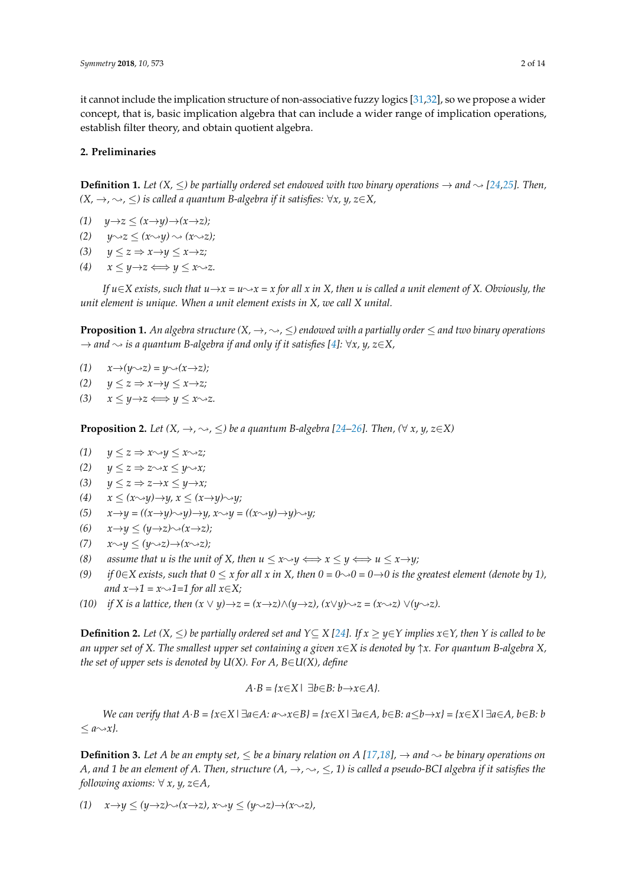it cannot include the implication structure of non-associative fuzzy logics [\[31,](#page-12-12)[32\]](#page-12-13), so we propose a wider concept, that is, basic implication algebra that can include a wider range of implication operations, establish filter theory, and obtain quotient algebra.

#### **2. Preliminaries**

**Definition 1.** Let  $(X, \leq)$  be partially ordered set endowed with two binary operations  $\rightarrow$  and  $\sim$  [\[24,](#page-12-6)[25\]](#page-12-7). Then,  $(X, →, →, ≤)$  *is called a quantum B-algebra if it satisfies:*  $\forall x, y, z \in X$ ,

- *(1)*  $y \rightarrow z \leq (x \rightarrow y) \rightarrow (x \rightarrow z);$
- $(2)$   $y\rightarrow z \leq (x\rightarrow y) \rightsquigarrow (x\rightarrow z);$
- *(3)*  $y \le z \Rightarrow x \rightarrow y \le x \rightarrow z;$
- $(4)$   $x \leq y \rightarrow z \Longleftrightarrow y \leq x \rightsquigarrow z.$

*If*  $u \in X$  exists, such that  $u \rightarrow x = u \rightarrow x = x$  for all x in X, then u is called a unit element of X. Obviously, the *unit element is unique. When a unit element exists in X, we call X unital.*

**Proposition 1.** An algebra structure  $(X, \to, \sim, \leq)$  endowed with a partially order  $\leq$  and two binary operations  $\rightarrow$  and  $\rightarrow$  *is a quantum B-algebra if and only if it satisfies [\[4\]](#page-12-14):*  $\forall x, y, z \in X$ ,

- $(1)$   $x \rightarrow (y \rightarrow z) = y \rightarrow (x \rightarrow z);$
- *(2)*  $y \le z \Rightarrow x \rightarrow y \le x \rightarrow z;$
- $(3)$   $x \leq y \rightarrow z \Longleftrightarrow y \leq x \rightarrow z.$

**Proposition 2.** *Let*  $(X, \rightarrow, \rightsquigarrow, \leq)$  *be a quantum B-algebra [\[24](#page-12-6)[–26\]](#page-12-8). Then,*  $(\forall x, y, z \in X)$ 

- *(1)*  $y \le z \Rightarrow x \rightarrow y \le x \rightarrow z;$
- *(2)*  $y \le z \Rightarrow z \rightarrow x \le y \rightarrow x;$
- *(3)*  $y \le z \Rightarrow z \rightarrow x \le y \rightarrow x;$
- $(x \rightarrow y) \rightarrow x < (x \rightarrow y) \rightarrow y, x < (x \rightarrow y) \rightarrow y;$
- *(5)*  $x \rightarrow y = ((x \rightarrow y) \rightarrow y, x \rightarrow y = ((x \rightarrow y) \rightarrow y, \rightarrow y)$
- *(6)*  $x \rightarrow y \leq (y \rightarrow z) \rightsquigarrow (x \rightarrow z);$
- *(7)*  $x \rightarrow y$  ≤  $(y \rightarrow z) \rightarrow (x \rightarrow z);$
- *(8) assume that u is the unit of <i>X*, then  $u \le x \rightarrow y \iff x \le y \iff u \le x \rightarrow y;$ <br>*(9) if*  $0 \in X$  *exists, such that*  $0 \le x$  *for all x in <i>X*, then  $0 = 0 \rightarrow 0 = 0 \rightarrow 0$  *is the s*
- *if*  $0 \in X$  exists, such that  $0 \leq x$  for all x in X, then  $0 = 0 \rightarrow 0 = 0 \rightarrow 0$  is the greatest element (denote by 1), *and*  $x \rightarrow 1 = x \rightarrow 1 = 1$  *for all*  $x \in X$ *;*
- *(10) if X is a lattice, then*  $(x \lor y) \rightarrow z = (x \rightarrow z) \land (y \rightarrow z)$ *,*  $(x \lor y) \rightarrow z = (x \rightarrow z) \lor (y \rightarrow z)$ *.*

**Definition 2.** *Let*  $(X, ≤)$  *be partially ordered set and*  $Y ⊆ X$  [\[24\]](#page-12-6)*. If*  $x ≥ y ∈ Y$  *implies*  $x ∈ Y$ *, then*  $Y$  *is called to be an upper set of X. The smallest upper set containing a given x*∈*X is denoted by* ↑*x. For quantum B-algebra X, the set of upper sets is denoted by U(X). For A, B*∈*U(X), define* 

$$
A \cdot B = \{x \in X \mid \exists b \in B \colon b \to x \in A\}.
$$

*We can verify that*  $A \cdot B = \{x \in X \mid \exists a \in A : a \sim x \in B\} = \{x \in X \mid \exists a \in A, b \in B : a \leq b \to x\} = \{x \in X \mid \exists a \in A, b \in B : b \in A\}$  $\leq a \rightarrow x$  $.$ 

**Definition 3.** Let A be an empty set,  $\leq$  be a binary relation on A [\[17](#page-12-3)[,18\]](#page-12-15),  $\rightarrow$  and  $\rightarrow$  be binary operations on *A, and 1 be an element of A. Then, structure*  $(A, \rightarrow, \sim, \leq, 1)$  *is called a pseudo-BCI algebra if it satisfies the following axioms:* ∀ *x, y, z*∈*A,*

*(1)*  $x \rightarrow y \leq (y \rightarrow z) \rightsquigarrow (x \rightarrow z), x \rightsquigarrow y \leq (y \rightsquigarrow z) \rightarrow (x \rightsquigarrow z),$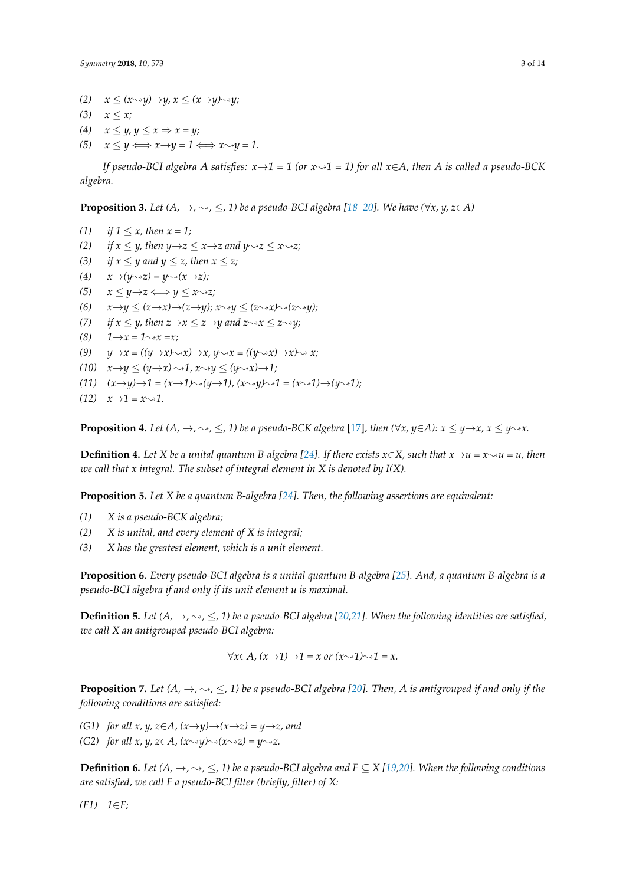*(2)*  $x \leq (x \rightarrow y) \rightarrow y, x \leq (x \rightarrow y) \rightarrow y;$ 

 $(3)$  *x*  $\lt x$ ;

- (4)  $x \leq y, y \leq x \Rightarrow x = y;$
- $(5)$   $x \leq y \Longleftrightarrow x \rightarrow y = 1 \Longleftrightarrow x \rightarrow y = 1.$

*If pseudo-BCI algebra A satisfies:*  $x \rightarrow 1 = 1$  (or  $x \rightarrow 1 = 1$ ) for all  $x \in A$ , then A is called a pseudo-BCK *algebra.*

**Proposition 3.** Let  $(A, \rightarrow, \sim, \leq, 1)$  be a pseudo-BCI algebra [\[18](#page-12-15)[–20\]](#page-12-16). We have  $(\forall x, y, z \in A)$ 

*(1) if*  $1 \le x$ *, then*  $x = 1$ *; (2) if*  $x \leq y$ *, then*  $y \rightarrow z \leq x \rightarrow z$  *and*  $y \rightarrow z \leq x \rightarrow z$ *;* (3) *if*  $x \le y$  *and*  $y \le z$ *, then*  $x \le z$ *;*  $(x \rightarrow y \rightarrow (y \rightarrow z) = y \rightarrow (x \rightarrow z);$ *(5)*  $x \leq y \rightarrow z \Longleftrightarrow y \leq x \rightsquigarrow z;$ (6)  $x \rightarrow y \leq (z \rightarrow x) \rightarrow (z \rightarrow y); x \rightarrow y \leq (z \rightarrow x) \rightarrow (z \rightarrow y);$ *(7) if*  $x \le y$ *, then*  $z \rightarrow x \le z \rightarrow y$  *and*  $z \rightarrow x \le z \rightarrow y$ *;*<br>*(8)*  $1 \rightarrow x = 1 \rightarrow x = x$ *;*  $1 \rightarrow x = 1 \rightarrow x = x;$ (9)  $y \rightarrow x = ((y \rightarrow x) \rightarrow x, y \rightarrow x = ((y \rightarrow x) \rightarrow x) \rightarrow x;$  $(10)$   $x \rightarrow y \leq (y \rightarrow x) \rightarrow 1, x \rightarrow y \leq (y \rightarrow x) \rightarrow 1;$  $(11)$   $(x \rightarrow y) \rightarrow 1 = (x \rightarrow 1) \rightarrow (y \rightarrow 1)$ ,  $(x \rightarrow y) \rightarrow 1 = (x \rightarrow 1) \rightarrow (y \rightarrow 1)$ ;  $(12)$   $x \rightarrow 1 = x \rightarrow 1$ .

**Proposition 4.** Let  $(A, \rightarrow, \rightsquigarrow, \leq, 1)$  be a pseudo-BCK algebra [\[17\]](#page-12-3), then  $(\forall x, y \in A)$ :  $x \le y \rightarrow x$ ,  $x \le y \rightarrow x$ .

**Definition 4.** Let X be a unital quantum B-algebra [\[24\]](#page-12-6). If there exists  $x \in X$ , such that  $x \rightarrow u = x \rightarrow u = u$ , then *we call that x integral. The subset of integral element in X is denoted by I(X).*

**Proposition 5.** *Let X be a quantum B-algebra [\[24\]](#page-12-6). Then, the following assertions are equivalent:*

- *(1) X is a pseudo-BCK algebra;*
- *(2) X is unital, and every element of X is integral;*
- *(3) X has the greatest element, which is a unit element.*

**Proposition 6.** *Every pseudo-BCI algebra is a unital quantum B-algebra [\[25\]](#page-12-7). And, a quantum B-algebra is a pseudo-BCI algebra if and only if its unit element u is maximal.*

**Definition 5.** Let  $(A, \rightarrow, \rightsquigarrow, \leq, 1)$  be a pseudo-BCI algebra [\[20,](#page-12-16)[21\]](#page-12-17). When the following identities are satisfied, *we call X an antigrouped pseudo-BCI algebra:*

$$
\forall x \in A, (x \rightarrow 1) \rightarrow 1 = x \text{ or } (x \rightarrow 1) \rightarrow 1 = x.
$$

**Proposition 7.** Let  $(A, \rightarrow, \sim, \leq, 1)$  be a pseudo-BCI algebra [\[20\]](#page-12-16). Then, A is antigrouped if and only if the *following conditions are satisfied:*

- *(G1) for all x, y, z*∈*A, (x→y)→* $(x \rightarrow z) = y \rightarrow z$ *, and*
- *(G2) for all x, y, z*∈*A, (x* $\rightarrow$ *y*) $\rightarrow$ *(x* $\rightarrow$ *z)* = *y* $\rightarrow$ *z*.

**Definition 6.** Let  $(A, \rightarrow, \sim, \leq, 1)$  be a pseudo-BCI algebra and  $F \subseteq X$  [\[19](#page-12-18)[,20\]](#page-12-16). When the following conditions *are satisfied, we call F a pseudo-BCI filter (briefly, filter) of X:*

*(F1) 1*∈*F;*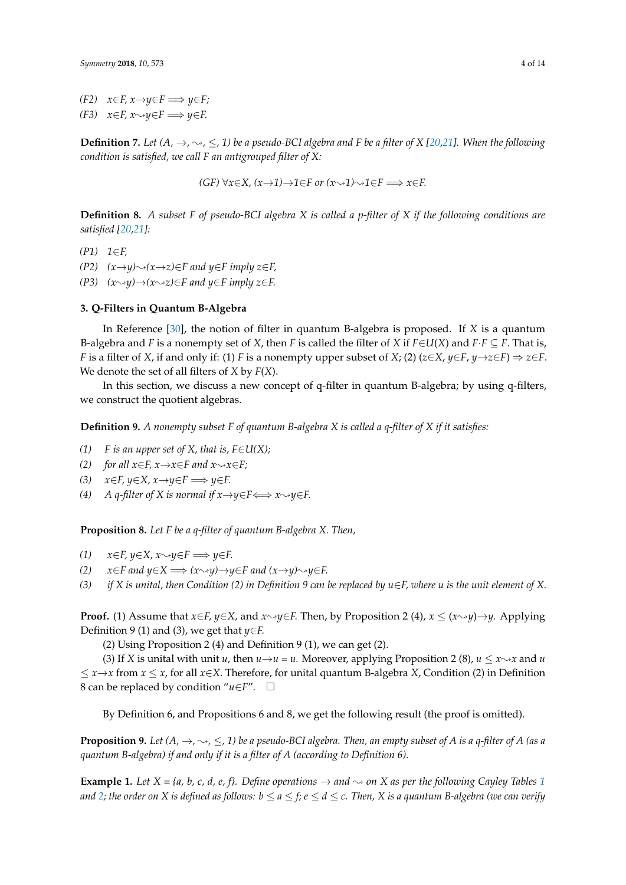*(F2)*  $x \in F$ ,  $x \rightarrow y \in F$   $\implies y \in F$ ;

*(F3)*  $x \in F$ ,  $x \rightarrow y \in F$   $\implies y \in F$ .

**Definition 7.** Let  $(A, \rightarrow, \rightsquigarrow, \leq, 1)$  be a pseudo-BCI algebra and F be a filter of X [\[20,](#page-12-16)[21\]](#page-12-17). When the following *condition is satisfied, we call F an antigrouped filter of X:*

*(GF)*  $\forall x \in X$ ,  $(x \rightarrow 1) \rightarrow 1 \in F$  or  $(x \rightarrow 1) \rightarrow 1 \in F \implies x \in F$ .

**Definition 8.** *A subset F of pseudo-BCI algebra X is called a p-filter of X if the following conditions are satisfied [\[20,](#page-12-16)[21\]](#page-12-17):*

*(P1) 1*∈*F,*

*(P2)*  $(x\rightarrow y)\rightsquigarrow (x\rightarrow z) \in F$  and  $y \in F$  imply  $z \in F$ ,

*(P3)*  $(x\rightarrow y)\rightarrow(x\rightarrow z) \in F$  *and*  $y \in F$  *imply z*∈*F.* 

#### **3. Q-Filters in Quantum B-Algebra**

In Reference [\[30\]](#page-12-11), the notion of filter in quantum B-algebra is proposed. If *X* is a quantum B-algebra and *F* is a nonempty set of *X*, then *F* is called the filter of *X* if  $F \in U(X)$  and  $F \cdot F \subseteq F$ . That is, *F* is a filter of *X*, if and only if: (1) *F* is a nonempty upper subset of *X*; (2) (*z*∈*X*, *y*∈*F*, *y*→*z*∈*F*) ⇒ *z*∈*F*. We denote the set of all filters of *X* by *F*(*X*).

In this section, we discuss a new concept of q-filter in quantum B-algebra; by using q-filters, we construct the quotient algebras.

**Definition 9.** *A nonempty subset F of quantum B-algebra X is called a q-filter of X if it satisfies:*

- *(1)*  $F$  *is an upper set of X, that is,*  $F \in U(X)$ *;*
- *(2) for all*  $x \in F$ ,  $x \rightarrow x \in F$  *and*  $x \rightarrow x \in F$ ;
- *(3)*  $x \in F$ ,  $y \in X$ ,  $x \rightarrow y \in F$   $\implies y \in F$ .
- *(4) A q-filter of X is normal if*  $x \rightarrow y \in F \Longleftrightarrow x \rightarrow y \in F$ *.*

**Proposition 8.** *Let F be a q-filter of quantum B-algebra X. Then,*

- (1)  $x \in F$ ,  $y \in X$ ,  $x \rightarrow y \in F \implies y \in F$ .<br>(2)  $x \in F$  and  $y \in X \implies (x \rightarrow y) \rightarrow y$
- (2)  $x \in F$  and  $y \in X \implies (x \sim y) \rightarrow y \in F$  and  $(x \rightarrow y) \sim y \in F$ .<br>
(3) if *X* is unital, then Condition (2) in Definition 9 can
- *if*  $X$  is unital, then Condition (2) in Definition 9 can be replaced by  $u \in F$ , where u is the unit element of  $X$ .

**Proof.** (1) Assume that  $x \in F$ ,  $y \in X$ , and  $x \rightarrow y \in F$ . Then, by Proposition 2 (4),  $x \leq (x \rightarrow y) \rightarrow y$ . Applying Definition 9 (1) and (3), we get that *y*∈*F.*

(2) Using Proposition 2 (4) and Definition 9 (1), we can get (2).

(3) If *X* is unital with unit *u*, then  $u \rightarrow u = u$ . Moreover, applying Proposition 2 (8),  $u \leq x \rightarrow x$  and *u* ≤ *x*→*x* from *x* ≤ *x*, for all *x*∈*X*. Therefore, for unital quantum B-algebra *X*, Condition (2) in Definition 8 can be replaced by condition "*u*∈*F*"*.*

By Definition 6, and Propositions 6 and 8, we get the following result (the proof is omitted).

**Proposition 9.** Let  $(A, \rightarrow, \rightsquigarrow, \leq, 1)$  be a pseudo-BCI algebra. Then, an empty subset of A is a q-filter of A (as a *quantum B-algebra) if and only if it is a filter of A (according to Definition 6).*

**Example [1](#page-4-0).** *Let*  $X = \{a, b, c, d, e, f\}$ . *Define operations*  $\rightarrow$  *and*  $\sim$  *on*  $X$  *as per the following Cayley Tables* 1 *and* [2;](#page-4-1) the order on X is defined as follows:  $b \le a \le f$ ;  $e \le d \le c$ . Then, X is a quantum B-algebra (we can verify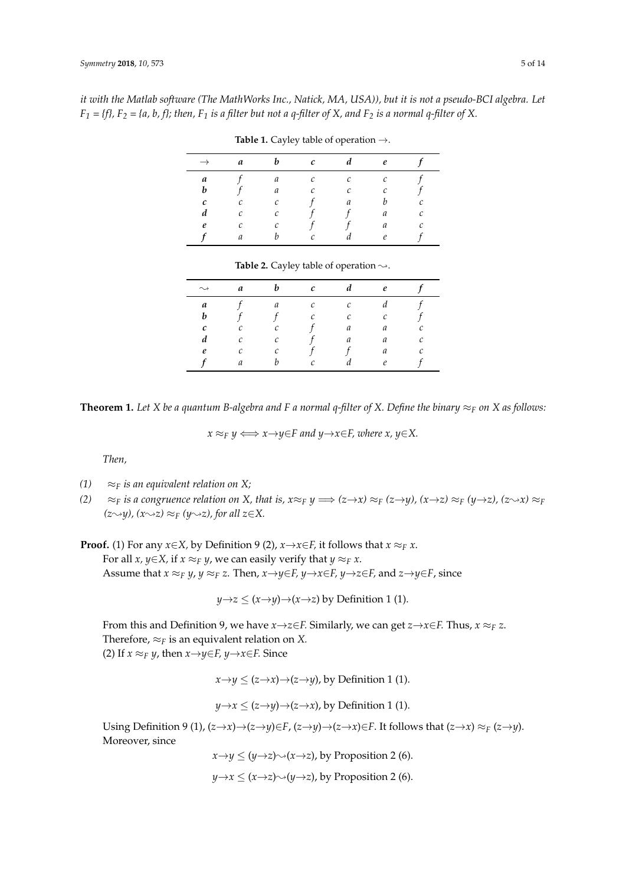<span id="page-4-0"></span>*it with the Matlab software (The MathWorks Inc., Natick, MA, USA)), but it is not a pseudo-BCI algebra. Let*  $F_1 = \{f\}$ ,  $F_2 = \{a, b, f\}$ ; then,  $F_1$  is a filter but not a q-filter of X, and  $F_2$  is a normal q-filter of X.

|   | a | h                     | $\mathcal{C}$     |   | $\boldsymbol{\rho}$ |   |
|---|---|-----------------------|-------------------|---|---------------------|---|
| a |   | a                     | $\mathcal{C}_{0}$ | C | C                   |   |
| h |   | а                     | $\sqrt{2}$        | C | r                   |   |
| с |   | $\mathcal{C}_{0}^{2}$ |                   | а |                     | с |
| d | C | C                     |                   |   | а                   | C |
| e |   | r                     |                   |   | a                   | r |
|   | а |                       | $\sqrt{2}$        |   | e                   |   |

**Table 1.** Cayley table of operation →.

<span id="page-4-1"></span>

| $\rightsquigarrow$ | a | h          | $\mathcal C$ |   | $\boldsymbol{\rho}$ |   |
|--------------------|---|------------|--------------|---|---------------------|---|
| a                  |   | а          | C            | C |                     |   |
| h                  |   |            | $\sqrt{2}$   | C |                     |   |
| с                  |   | $\sqrt{2}$ |              | a | a                   |   |
| а                  | C | С          |              | а | a                   | r |
| $\boldsymbol{e}$   | ◠ | $\sqrt{ }$ |              |   | a                   |   |
|                    | a |            |              |   | $\mathcal{O}$       |   |

**Theorem 1.** Let X be a quantum B-algebra and F a normal q-filter of X. Define the binary  $\approx_F$  on X as follows:

 $x \approx_F y \Longleftrightarrow x \rightarrow y \in F$  and  $y \rightarrow x \in F$ , where  $x, y \in X$ .

*Then,*

- *(1)*  $\approx$   $\approx$  *F is an equivalent relation on X;*
- *(2)* ≈*F is a congruence relation on X, that is,*  $x \approx_F y \implies (z \rightarrow x) \approx_F (z \rightarrow y)$ *,*  $(x \rightarrow z) \approx_F (y \rightarrow z)$ *,*  $(z \rightarrow x) \approx_F (z \rightarrow z)$ *(z*∼*y), (x*∼*z)* ≈*F (y*∼*z), for all z∈X.*

**Proof.** (1) For any *x*∈*X*, by Definition 9 (2), *x*→*x*∈*F*, it follows that *x* ≈*F x*. For all *x*,  $y \in X$ , if  $x \approx_F y$ , we can easily verify that  $y \approx_F x$ . Assume that  $x \approx_F y$ ,  $y \approx_F z$ . Then,  $x \rightarrow y \in F$ ,  $y \rightarrow x \in F$ ,  $y \rightarrow z \in F$ , and  $z \rightarrow y \in F$ , since

$$
y \rightarrow z \leq (x \rightarrow y) \rightarrow (x \rightarrow z)
$$
 by Definition 1 (1).

From this and Definition 9, we have *x*→*z*∈*F.* Similarly, we can get *z*→*x*∈*F.* Thus, *x* ≈*<sup>F</sup> z*. Therefore,  $\approx_F$  is an equivalent relation on *X*. (2) If  $x \approx_F y$ , then  $x \rightarrow y \in F$ ,  $y \rightarrow x \in F$ . Since

 $x \rightarrow y \leq (z \rightarrow x) \rightarrow (z \rightarrow y)$ , by Definition 1 (1).

$$
y \rightarrow x \leq (z \rightarrow y) \rightarrow (z \rightarrow x)
$$
, by Definition 1 (1).

Using Definition 9 (1),  $(z \rightarrow x) \rightarrow (z \rightarrow y) \in F$ ,  $(z \rightarrow y) \rightarrow (z \rightarrow x) \in F$ . It follows that  $(z \rightarrow x) \approx_F (z \rightarrow y)$ . Moreover, since

> $x \rightarrow y \leq (y \rightarrow z) \rightsquigarrow (x \rightarrow z)$ , by Proposition 2 (6).  $y \rightarrow x \leq (x \rightarrow z) \rightarrow (y \rightarrow z)$ , by Proposition 2 (6).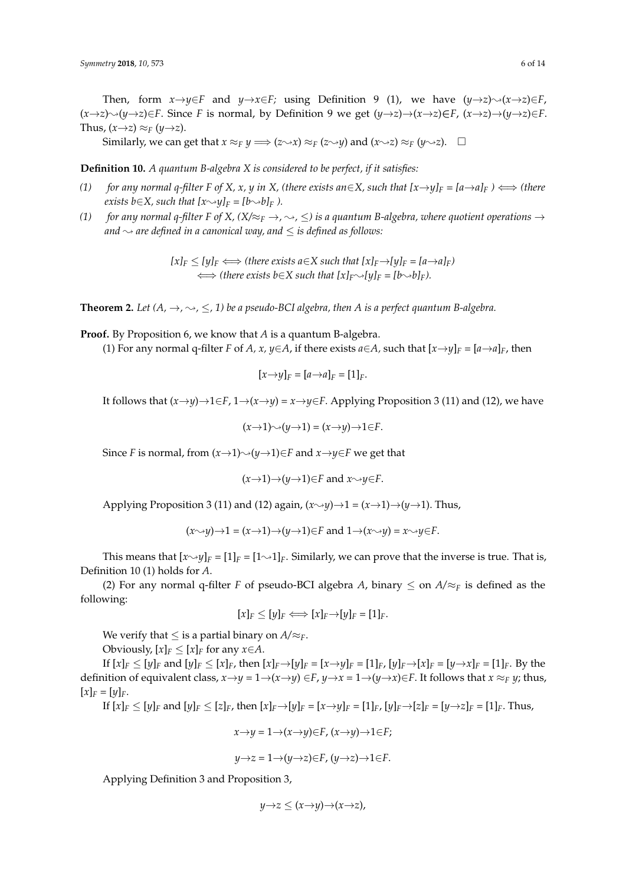Then, form  $x \rightarrow y \in F$  and  $y \rightarrow x \in F$ ; using Definition 9 (1), we have  $(y \rightarrow z) \rightarrow (x \rightarrow z) \in F$ ,  $(x \rightarrow z) \rightarrow (y \rightarrow z) \in F$ . Since *F* is normal, by Definition 9 we get  $(y \rightarrow z) \rightarrow (x \rightarrow z) \in F$ ,  $(x \rightarrow z) \rightarrow (y \rightarrow z) \in F$ . Thus,  $(x \rightarrow z) \approx_F (y \rightarrow z)$ .

Similarly, we can get that  $x \approx_F y \Longrightarrow (z \rightarrow x) \approx_F (z \rightarrow y)$  and  $(x \rightarrow z) \approx_F (y \rightarrow z)$ .  $\Box$ 

**Definition 10.** *A quantum B-algebra X is considered to be perfect, if it satisfies:*

- *(1) for any normal q-filter F of X, x, y in X, (there exists an∈X, such that*  $[x\rightarrow y]_F = [a\rightarrow a]_F$ *)*  $\Longleftrightarrow$  *(there exists b*∈*X, such that*  $[x \rightarrow y]_F = [b \rightarrow b]_F$  *).*
- *(1) for any normal q-filter F of X, (X/* $\approx$ <sub>*F</sub>*  $\rightarrow$ ,  $\sim$ ,  $\leq$ ) *is a quantum B-algebra, where quotient operations*  $\rightarrow$ </sub> *and*  $\sim$  *are defined in a canonical way, and*  $\leq$  *is defined as follows:*

 $[x]_F \leq [y]_F \Longleftrightarrow$  (there exists  $a \in X$  such that  $[x]_F \rightarrow [y]_F = [a \rightarrow a]_F$ )  $\iff$  (there exists  $b \in X$  such that  $[x]_F \rightarrow [y]_F = [b \rightarrow b]_F$ ).

**Theorem 2.** Let  $(A, \rightarrow, \sim, \leq, 1)$  be a pseudo-BCI algebra, then A is a perfect quantum B-algebra.

**Proof.** By Proposition 6, we know that *A* is a quantum B-algebra.

(1) For any normal q-filter *F* of *A*, *x*,  $y \in A$ , if there exists  $a \in A$ , such that  $[x \rightarrow y]_F = [a \rightarrow a]_F$ , then

$$
[x \rightarrow y]_F = [a \rightarrow a]_F = [1]_F.
$$

It follows that  $(x \rightarrow y) \rightarrow 1 \in F$ ,  $1 \rightarrow (x \rightarrow y) = x \rightarrow y \in F$ . Applying Proposition 3 (11) and (12), we have

 $(x \rightarrow 1) \rightarrow (y \rightarrow 1) = (x \rightarrow y) \rightarrow 1 \in F.$ 

Since *F* is normal, from  $(x \rightarrow 1) \rightarrow (y \rightarrow 1) \in F$  and  $x \rightarrow y \in F$  we get that

$$
(x \rightarrow 1) \rightarrow (y \rightarrow 1) \in F
$$
 and  $x \rightarrow y \in F$ .

Applying Proposition 3 (11) and (12) again,  $(x \rightarrow y) \rightarrow 1 = (x \rightarrow 1) \rightarrow (y \rightarrow 1)$ . Thus,

$$
(x \rightarrow y) \rightarrow 1 = (x \rightarrow 1) \rightarrow (y \rightarrow 1) \in F \text{ and } 1 \rightarrow (x \rightarrow y) = x \rightarrow y \in F.
$$

This means that  $[x\rightarrow y]_F = [1]_F = [1\rightarrow 1]_F$ . Similarly, we can prove that the inverse is true. That is, Definition 10 (1) holds for *A*.

(2) For any normal q-filter *F* of pseudo-BCI algebra *A*, binary  $\leq$  on  $A/\approx_F$  is defined as the following:

$$
[x]_F \le [y]_F \Longleftrightarrow [x]_F \rightarrow [y]_F = [1]_F.
$$

We verify that  $\leq$  is a partial binary on  $A/\approx$ *F*.

Obviously,  $[x]_F \leq [x]_F$  for any  $x \in A$ .

If  $[x]_F \le [y]_F$  and  $[y]_F \le [x]_F$ , then  $[x]_F \rightarrow [y]_F = [x \rightarrow y]_F = [1]_F$ ,  $[y]_F \rightarrow [x]_F = [y \rightarrow x]_F = [1]_F$ . By the definition of equivalent class,  $x \rightarrow y = 1 \rightarrow (x \rightarrow y) \in F$ ,  $y \rightarrow x = 1 \rightarrow (y \rightarrow x) \in F$ . It follows that  $x \approx_F y$ ; thus,  $[x]_F = [y]_F.$ 

If  $[x]_F \le [y]_F$  and  $[y]_F \le [z]_F$ , then  $[x]_F \rightarrow [y]_F = [x \rightarrow y]_F = [1]_F$ ,  $[y]_F \rightarrow [z]_F = [y \rightarrow z]_F = [1]_F$ . Thus,

$$
x \rightarrow y = 1 \rightarrow (x \rightarrow y) \in F, \ (x \rightarrow y) \rightarrow 1 \in F;
$$

$$
y\rightarrow z=1\rightarrow (y\rightarrow z)\in F, (y\rightarrow z)\rightarrow 1\in F.
$$

Applying Definition 3 and Proposition 3,

$$
y\rightarrow z\leq (x\rightarrow y)\rightarrow (x\rightarrow z),
$$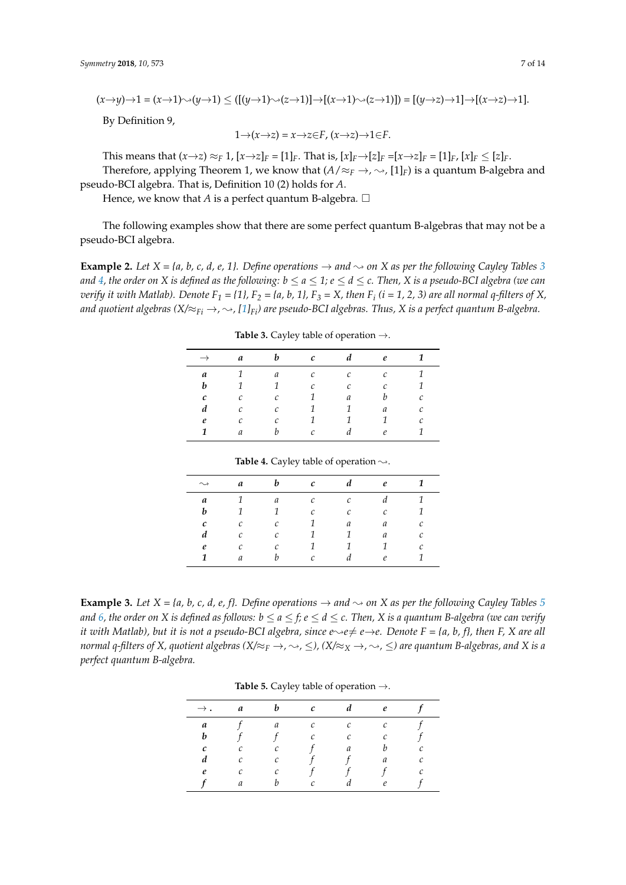$$
(x\rightarrow y)\rightarrow 1=(x\rightarrow 1)\rightsquigarrow (y\rightarrow 1)\leq ([(y\rightarrow 1)\rightsquigarrow (z\rightarrow 1)]\rightarrow [(x\rightarrow 1)\rightsquigarrow (z\rightarrow 1)])=[(y\rightarrow z)\rightarrow 1]\rightarrow [(x\rightarrow z)\rightarrow 1].
$$

By Definition 9,

$$
1 \rightarrow (x \rightarrow z) = x \rightarrow z \in F, \ (x \rightarrow z) \rightarrow 1 \in F.
$$

This means that  $(x \to z) \approx_F 1$ ,  $[x \to z]_F = [1]_F$ . That is,  $[x]_F \to [z]_F = [x \to z]_F = [1]_F$ ,  $[x]_F \leq [z]_F$ .

Therefore, applying Theorem 1, we know that  $(A/\approx_F \rightarrow, \sim, [1]_F)$  is a quantum B-algebra and pseudo-BCI algebra. That is, Definition 10 (2) holds for *A*.

Hence, we know that *A* is a perfect quantum B-algebra*.*

The following examples show that there are some perfect quantum B-algebras that may not be a pseudo-BCI algebra.

<span id="page-6-0"></span>**Example 2.** Let  $X = \{a, b, c, d, e, 1\}$ . Define operations  $\rightarrow$  and  $\sim$  on X as per the following Cayley Tables [3](#page-6-0) *and* [4,](#page-6-1) the order on X is defined as the following:  $b \le a \le 1$ ;  $e \le d \le c$ . Then, X is a pseudo-BCI algebra (we can *verify it with Matlab). Denote F<sup>1</sup> = {1}, F<sup>2</sup> = {a, b, 1}, F<sup>3</sup> = X, then F<sup>i</sup> (i = 1, 2, 3) are all normal q-filters of X, and quotient algebras* ( $X/\approx_{Fi} \rightarrow$ ,  $\sim$ , [\[1\]](#page-11-0) $_{Fi}$ *) are pseudo-BCI algebras. Thus, X is a perfect quantum B-algebra.* 

|   | a             | b            | $\mathcal{C}$ | $\mathfrak{d}$ | $\boldsymbol{e}$      |   |
|---|---------------|--------------|---------------|----------------|-----------------------|---|
| а |               | а            | $\mathcal{C}$ | C              | $\mathcal{C}$         |   |
| b |               | $\mathbf{1}$ | $\mathcal{C}$ | C              | $\mathcal{C}_{0}^{2}$ |   |
| с | C             | C            |               | $\mathfrak a$  | h                     | C |
| d | $\mathcal{C}$ | C            |               |                | a                     | С |
| e | $\mathcal{C}$ | C            |               |                |                       | C |
|   | $\mathfrak a$ |              | C             |                | $\ell$                |   |

**Table 3.** Cayley table of operation →.

<span id="page-6-1"></span>

| $\rightsquigarrow$ | a                     | $\bm{b}$      | $\mathcal{C}$ | d             | $\boldsymbol{e}$ |                   |
|--------------------|-----------------------|---------------|---------------|---------------|------------------|-------------------|
| a                  |                       | a             | $\mathcal{C}$ | $\mathcal{C}$ | d                |                   |
| b                  |                       | $\mathcal{I}$ | $\mathcal{C}$ | $\mathcal{C}$ | $\mathcal{C}$    |                   |
| c                  | $\mathcal{C}_{0}^{2}$ | $\mathcal{C}$ | 1             | $\mathfrak a$ | a                | C                 |
| d                  | $\mathcal{C}_{0}$     | $\mathcal{C}$ | 1             |               | $\it a$          | C                 |
| e                  | $\mathcal{C}$         | $\mathcal{C}$ | 1             |               |                  | $\mathcal{C}_{0}$ |
| 1                  | $\mathfrak a$         | h             | $\mathcal{C}$ |               | $\ell$           |                   |

**Table 4.** Cayley table of operation  $\sim$ .

<span id="page-6-2"></span>**Example 3.** Let  $X = \{a, b, c, d, e, f\}$ . Define operations  $\rightarrow$  and  $\sim$  on X as per the following Cayley Tables [5](#page-6-2) *and* [6,](#page-7-0) the order on X is defined as follows:  $b \le a \le f$ ;  $e \le d \le c$ . Then, X is a quantum B-algebra (we can verify *it with Matlab), but it is not a pseudo-BCI algebra, since*  $e \rightarrow e \neq e \rightarrow e$ *. Denote F = {a, b, f}, then F, X are all normal q-filters of X, quotient algebras (* $X/\approx_F \to$ *,*  $\sim$ *,*  $\leq$ *), (* $X/\approx_X \to$ *,*  $\sim$ *,*  $\leq$ *) are quantum B-algebras, and X is a perfect quantum B-algebra.*

| racie of capic, table of operation 7. |   |   |   |   |   |  |  |  |
|---------------------------------------|---|---|---|---|---|--|--|--|
| $\rightarrow$ .                       | a |   | c |   | e |  |  |  |
| a                                     |   | а | C | r | С |  |  |  |
| h                                     |   |   |   | ╭ |   |  |  |  |
| C                                     |   |   |   | a |   |  |  |  |
| d                                     |   | C |   |   | a |  |  |  |
| e                                     |   |   |   |   |   |  |  |  |
|                                       | а |   | ◠ |   | e |  |  |  |

**Table 5.** Cayley table of operation  $\rightarrow$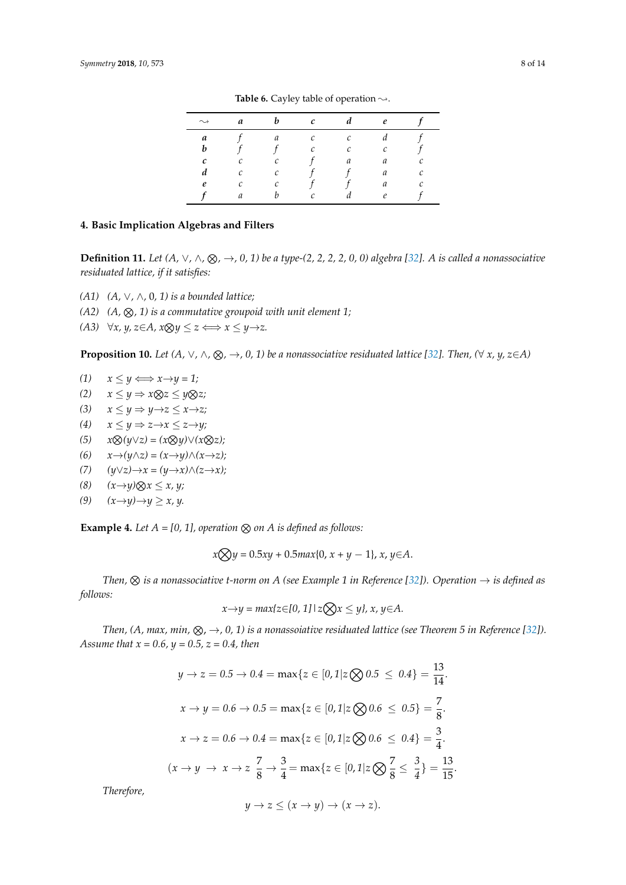<span id="page-7-0"></span>

| $\rightsquigarrow$ | a            |   | c                 | d            | e          |   |
|--------------------|--------------|---|-------------------|--------------|------------|---|
| a                  |              | a | $\mathcal{C}_{0}$ | $\mathcal C$ |            |   |
| b                  |              |   | $\mathcal{C}_{0}$ | C            | С          |   |
| с                  | $\mathcal C$ | с |                   | a            | a          | C |
| d                  | $\mathcal C$ | C |                   |              | a          | C |
| e                  | С            | с |                   |              | a          | C |
|                    | а            |   | r                 |              | $\epsilon$ |   |

**Table 6.** Cayley table of operation  $\sim$ .

### **4. Basic Implication Algebras and Filters**

**Definition 11.** Let  $(A, ∨, ∧, ⊗, →, 0, 1)$  be a type- $(2, 2, 2, 2, 0, 0)$  algebra [\[32\]](#page-12-13). A is called a nonassociative *residuated lattice, if it satisfies:*

- *(A1) (A,* ∨*,* ∧*,* 0*, 1) is a bounded lattice;*
- $(A2)$   $(A, \otimes, 1)$  is a commutative groupoid with unit element 1;
- *(A3)*  $\forall x, y, z \in A$ ,  $x \otimes y \leq z \Longleftrightarrow x \leq y \rightarrow z$ .

**Proposition 10.** Let  $(A, \vee, \wedge, \otimes, \to, 0, 1)$  be a nonassociative residuated lattice [\[32\]](#page-12-13). Then,  $(\forall x, y, z \in A)$ 

- $(1)$   $x \leq y \Longleftrightarrow x \rightarrow y = 1;$
- *(2)*  $x \le y$  ⇒  $x \otimes z \le y \otimes z$ ;
- (3)  $x \le y \Rightarrow y \rightarrow z \le x \rightarrow z;$
- *(4)*  $x \le y$  ⇒  $z \rightarrow x \le z \rightarrow y$ ;
- $f(5)$   $x \otimes (y \vee z) = (x \otimes y) \vee (x \otimes z);$
- *(6) x*→*(y*∧*z) = (x*→*y)*∧*(x*→*z);*
- *(7) (y*∨*z)*→*x = (y*→*x)*∧*(z*→*x);*
- $(8)$   $(x \rightarrow y) \otimes x \leq x, y;$
- *(9)*  $(x→y)→y ≥ x, y.$

**Example 4.** Let  $A = [0, 1]$ , operation  $\otimes$  on  $A$  is defined as follows:

$$
x \bigotimes y = 0.5xy + 0.5max\{0, x + y - 1\}, x, y \in A.
$$

*Then,*  $\otimes$  *is a nonassociative t-norm on A (see Example 1 in Reference [\[32\]](#page-12-13)). Operation*  $\rightarrow$  *is defined as follows:*

$$
x \rightarrow y = \max\{z \in [0, 1] \mid z \bigotimes x \leq y\}, x, y \in A.
$$

*Then, (A, max, min,*  $\otimes$ *,*  $\rightarrow$ *, 0, 1) is a nonassoiative residuated lattice (see Theorem 5 in Reference [\[32\]](#page-12-13)). Assume that x = 0.6, y = 0.5, z = 0.4, then*

$$
y \to z = 0.5 \to 0.4 = \max\{z \in [0, 1]z \bigotimes 0.5 \le 0.4\} = \frac{13}{14}.
$$
  

$$
x \to y = 0.6 \to 0.5 = \max\{z \in [0, 1]z \bigotimes 0.6 \le 0.5\} = \frac{7}{8}.
$$
  

$$
x \to z = 0.6 \to 0.4 = \max\{z \in [0, 1]z \bigotimes 0.6 \le 0.4\} = \frac{3}{4}.
$$
  

$$
(x \to y \to x \to z \frac{7}{8} \to \frac{3}{4} = \max\{z \in [0, 1]z \bigotimes \frac{7}{8} \le \frac{3}{4}\} = \frac{13}{15}.
$$

*Therefore,*

$$
y \to z \le (x \to y) \to (x \to z).
$$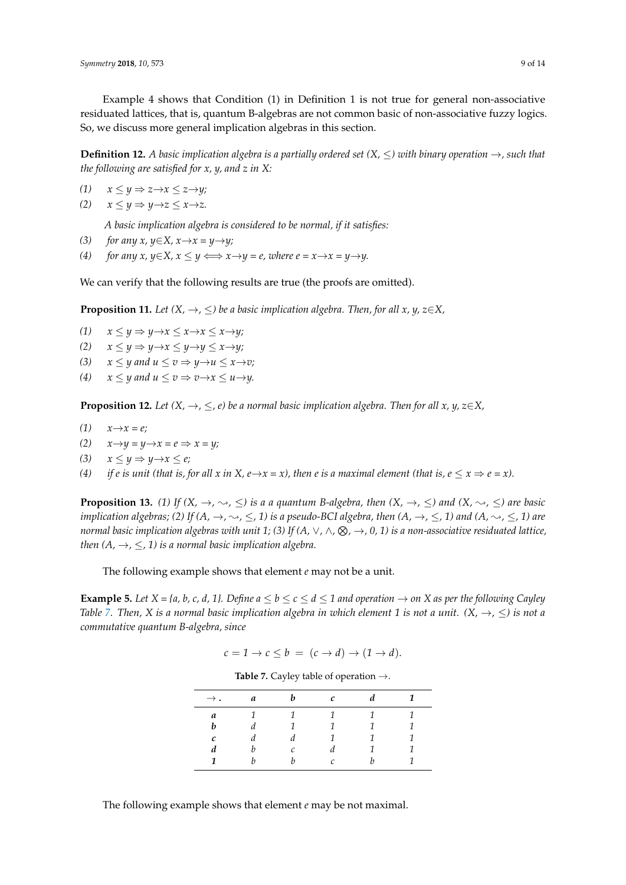Example 4 shows that Condition (1) in Definition 1 is not true for general non-associative residuated lattices, that is, quantum B-algebras are not common basic of non-associative fuzzy logics. So, we discuss more general implication algebras in this section.

**Definition 12.** *A basic implication algebra is a partially ordered set (X,* ≤*) with binary operation* →*, such that the following are satisfied for x, y, and z in X:*

*(1)*  $x \leq y$  ⇒  $z \rightarrow x \leq z \rightarrow y;$ 

$$
(2) \quad x \le y \Rightarrow y \to z \le x \to z.
$$

*A basic implication algebra is considered to be normal, if it satisfies:*

- (3) *for any x, y*∈*X, x*→*x* = *y*→*y*;
- (4) *for any x, y*∈*X, x*  $\leq$  *y*  $\Longleftrightarrow$  *x*→*y* = *e, where e* = *x*→*x* = *y*→*y*.

We can verify that the following results are true (the proofs are omitted).

**Proposition 11.** *Let*  $(X, \rightarrow, \leq)$  *be a basic implication algebra. Then, for all x, y, z*∈*X*,

- *(1)*  $x \le y \Rightarrow y \rightarrow x \le x \Rightarrow x \le x \rightarrow y;$
- *(2)*  $x \le y \Rightarrow y \rightarrow x \le y \rightarrow y \le x \rightarrow y;$
- (3)  $x \leq y$  and  $u \leq v \Rightarrow y \rightarrow u \leq x \rightarrow v;$
- (4)  $x \le y$  and  $u \le v \Rightarrow v \rightarrow x \le u \rightarrow y$ .

**Proposition 12.** *Let*  $(X, \rightarrow, \leq, e)$  *be a normal basic implication algebra. Then for all x, y, z*∈*X*,

- *(1)*  $x \rightarrow x = e$ *;*
- *(2)*  $x \rightarrow y = y \rightarrow x = e \Rightarrow x = y;$
- $(3)$   $x \leq y \Rightarrow y \rightarrow x \leq e;$
- (4) *if e is unit (that is, for all x in X, e*  $\rightarrow$ *x = x), then e is a maximal element (that is, e*  $\leq$  *x*  $\Rightarrow$  *e = x).*

**Proposition 13.** (1) If  $(X, \rightarrow, \sim, \leq)$  is a a quantum B-algebra, then  $(X, \rightarrow, \leq)$  and  $(X, \sim, \leq)$  are basic *implication algebras;* (2) If  $(A, \to, \sim, \leq, 1)$  *is a pseudo-BCI algebra, then*  $(A, \to, \leq, 1)$  *and*  $(A, \sim, \leq, 1)$  *are normal basic implication algebras with unit 1; (3) If (A,* ∨*,* ∧*,* N*,* →*, 0, 1) is a non-associative residuated lattice, then*  $(A, \rightarrow, \leq, 1)$  *is a normal basic implication algebra.* 

The following example shows that element *e* may not be a unit.

<span id="page-8-0"></span>**Example 5.** *Let*  $X = \{a, b, c, d, 1\}$ . *Define*  $a \le b \le c \le d \le 1$  *and operation*  $\rightarrow$  *on*  $X$  *as per the following Cayley Table [7.](#page-8-0)* Then, *X* is a normal basic implication algebra in which element 1 is not a unit.  $(X, \rightarrow, \leq)$  is not a *commutative quantum B-algebra, since*

$$
c = 1 \to c \leq b = (c \to d) \to (1 \to d).
$$

| <b>Table 7.</b> Cayley table of operation $\rightarrow$ . |  |
|-----------------------------------------------------------|--|
|-----------------------------------------------------------|--|

| $\rightarrow$ . | $\boldsymbol{a}$ | h             | $\mathcal{C}$ |  |
|-----------------|------------------|---------------|---------------|--|
| a               |                  | 1             | $\mathbf{1}$  |  |
| b               |                  |               | 1             |  |
| c               |                  |               |               |  |
| d               |                  | $\mathcal{C}$ |               |  |
| 1               |                  |               | $\sqrt{ }$    |  |

The following example shows that element *e* may be not maximal.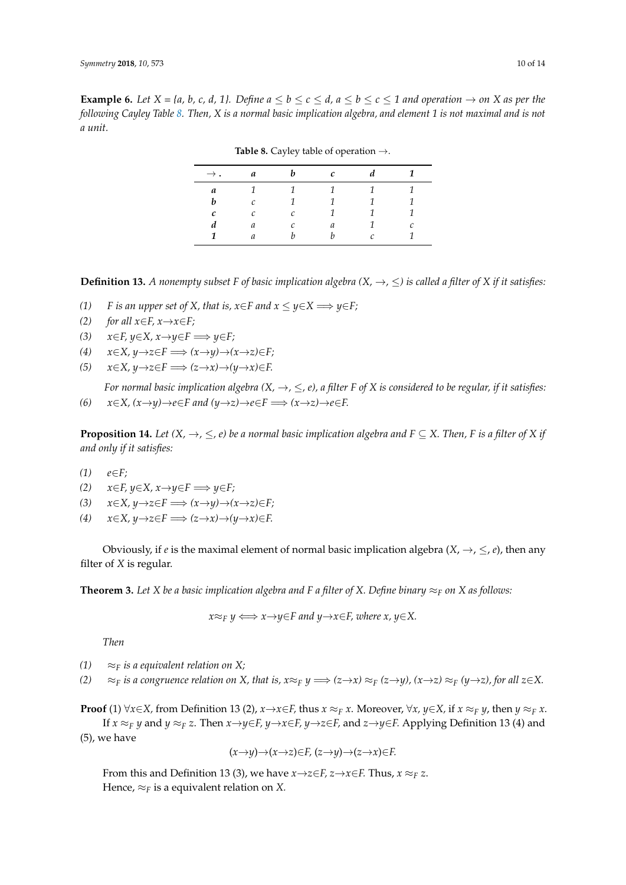<span id="page-9-0"></span>**Example 6.** Let  $X = \{a, b, c, d, 1\}$ . Define  $a \le b \le c \le d$ ,  $a \le b \le c \le 1$  and operation  $\rightarrow$  on X as per the *following Cayley Table [8.](#page-9-0) Then, X is a normal basic implication algebra, and element 1 is not maximal and is not a unit.*

| $\rightarrow$ . | a | h | с |   |   |
|-----------------|---|---|---|---|---|
| a               |   |   | ٠ |   |   |
| h               | C |   |   |   |   |
| с               | ◠ | C |   |   |   |
|                 | a | ◠ | a |   | ◠ |
| 1               | a |   |   | ⌒ |   |

**Table 8.** Cayley table of operation →.

**Definition 13.** *A nonempty subset F of basic implication algebra*  $(X, \rightarrow, \leq)$  *is called a filter of X if it satisfies:* 

- *(1) F is an upper set of X, that is,*  $x \in F$  *and*  $x \le y \in X$  *⇒*  $y \in F$ *;*
- *(2) for all*  $x \in F$ *,*  $x \rightarrow x \in F$ *;*
- *(3)*  $x \in F$ ,  $y \in X$ ,  $x \rightarrow y \in F$   $\implies y \in F$ ;
- *(4)*  $x \in X, y \rightarrow z \in F \implies (x \rightarrow y) \rightarrow (x \rightarrow z) \in F;$
- *(5) x*∈*X, y*→*z*∈*F* =⇒ *(z*→*x)*→*(y*→*x)*∈*F.*

*For normal basic implication algebra*  $(X, \rightarrow, \leq, e)$ , a filter F of X is considered to be regular, if it satisfies: *(6)*  $x \in X$ ,  $(x \rightarrow y) \rightarrow e \in F$  and  $(y \rightarrow z) \rightarrow e \in F \implies (x \rightarrow z) \rightarrow e \in F$ .

**Proposition 14.** *Let*  $(X, \rightarrow, \leq, e)$  *be a normal basic implication algebra and*  $F \subseteq X$ *. Then,* F *is a filter of*  $X$  *if and only if it satisfies:*

- *(1) e*∈*F;*
- *(2)*  $x \in F$ ,  $y \in X$ ,  $x \rightarrow y \in F$   $\implies y \in F$ ;
- *(3)*  $x \in X, y \rightarrow z \in F \implies (x \rightarrow y) \rightarrow (x \rightarrow z) \in F;$
- *(4)*  $x \in X, y \rightarrow z \in F \implies (z \rightarrow x) \rightarrow (y \rightarrow x) \in F.$

Obviously, if *e* is the maximal element of normal basic implication algebra  $(X, \rightarrow, \leq, e)$ , then any filter of *X* is regular.

**Theorem 3.** Let X be a basic implication algebra and F a filter of X. Define binary  $\approx_F$  on X as follows:

 $x \approx_F y \iff x \to y \in F$  and  $y \to x \in F$ , where  $x, y \in X$ .

*Then*

*(1)*  $\approx$ *F is a equivalent relation on X;* 

*(2)* ≈*F is a congruence relation on X, that is,*  $x \approx_F y \implies (z \rightarrow x) \approx_F (z \rightarrow y)$ *,*  $(x \rightarrow z) \approx_F (y \rightarrow z)$ *, for all*  $z \in X$ *.* 

**Proof** (1)  $\forall x \in X$ , from Definition 13 (2),  $x \rightarrow x \in F$ , thus  $x \approx_F x$ . Moreover,  $\forall x, y \in X$ , if  $x \approx_F y$ , then  $y \approx_F x$ . If  $x \approx_F y$  and  $y \approx_F z$ . Then  $x \rightarrow y \in F$ ,  $y \rightarrow x \in F$ ,  $y \rightarrow z \in F$ , and  $z \rightarrow y \in F$ . Applying Definition 13 (4) and (5), we have

$$
(x\rightarrow y)\rightarrow(x\rightarrow z)\in F, (z\rightarrow y)\rightarrow(z\rightarrow x)\in F.
$$

From this and Definition 13 (3), we have  $x \rightarrow z \in F$ ,  $z \rightarrow x \in F$ . Thus,  $x \approx_F z$ . Hence,  $\approx_F$  is a equivalent relation on *X*.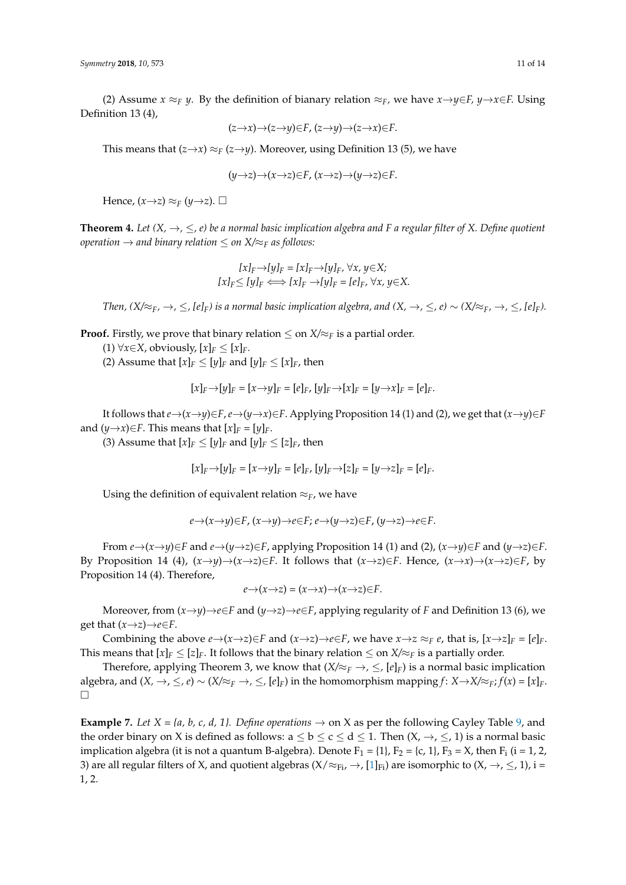(2) Assume  $x \approx_F y$ . By the definition of bianary relation  $\approx_F$ , we have  $x \rightarrow y \in F$ ,  $y \rightarrow x \in F$ . Using Definition 13 (4),

$$
(z \rightarrow x) \rightarrow (z \rightarrow y) \in F, (z \rightarrow y) \rightarrow (z \rightarrow x) \in F.
$$

This means that  $(z \rightarrow x) \approx_F (z \rightarrow y)$ . Moreover, using Definition 13 (5), we have

$$
(y\rightarrow z)\rightarrow(x\rightarrow z)\in F, (x\rightarrow z)\rightarrow(y\rightarrow z)\in F.
$$

Hence,  $(x \rightarrow z) \approx_F (y \rightarrow z)$ .

**Theorem 4.** *Let*  $(X, \rightarrow, \leq, e)$  *be a normal basic implication algebra and F a regular filter of X. Define quotient operation*  $\rightarrow$  *and binary relation*  $\leq$  *on X*/ $\approx$ *F as follows:* 

$$
[x]_F \rightarrow [y]_F = [x]_F \rightarrow [y]_F, \forall x, y \in X;
$$
  

$$
[x]_F \le [y]_F \iff [x]_F \rightarrow [y]_F = [e]_F, \forall x, y \in X.
$$

*Then,*  $(X/\approx_F, \rightarrow, \leq, [e]_F)$  is a normal basic implication algebra, and  $(X, \rightarrow, \leq, e) \sim (X/\approx_F, \rightarrow, \leq, [e]_F)$ .

**Proof.** Firstly, we prove that binary relation  $\leq$  on  $X/\approx_F$  is a partial order.

- (1) ∀*x*∈*X*, obviously,  $[x]_F$  ≤  $[x]_F$ .
- (2) Assume that  $[x]_F \leq [y]_F$  and  $[y]_F \leq [x]_F$ , then

$$
[x]_F \to [y]_F = [x \to y]_F = [e]_F, [y]_F \to [x]_F = [y \to x]_F = [e]_F.
$$

It follows that  $e \rightarrow (x \rightarrow y) \in F$ ,  $e \rightarrow (y \rightarrow x) \in F$ . Applying Proposition 14 (1) and (2), we get that  $(x \rightarrow y) \in F$ and  $(y \rightarrow x) \in F$ . This means that  $[x]_F = [y]_F$ .

(3) Assume that  $[x]_F \leq [y]_F$  and  $[y]_F \leq [z]_F$ , then

$$
[x]_F \rightarrow [y]_F = [x \rightarrow y]_F = [e]_F, [y]_F \rightarrow [z]_F = [y \rightarrow z]_F = [e]_F.
$$

Using the definition of equivalent relation ≈*F*, we have

$$
e \rightarrow (x \rightarrow y) \in F, (x \rightarrow y) \rightarrow e \in F; e \rightarrow (y \rightarrow z) \in F, (y \rightarrow z) \rightarrow e \in F.
$$

From  $e \rightarrow (x \rightarrow y) \in F$  and  $e \rightarrow (y \rightarrow z) \in F$ , applying Proposition 14 (1) and (2),  $(x \rightarrow y) \in F$  and  $(y \rightarrow z) \in F$ . By Proposition 14 (4),  $(x \rightarrow y) \rightarrow (x \rightarrow z) \in F$ . It follows that  $(x \rightarrow z) \in F$ . Hence,  $(x \rightarrow x) \rightarrow (x \rightarrow z) \in F$ , by Proposition 14 (4). Therefore,

$$
e \rightarrow (x \rightarrow z) = (x \rightarrow x) \rightarrow (x \rightarrow z) \in F.
$$

Moreover, from  $(x \rightarrow y) \rightarrow e \in F$  and  $(y \rightarrow z) \rightarrow e \in F$ , applying regularity of *F* and Definition 13 (6), we get that  $(x \rightarrow z) \rightarrow e \in F$ .

Combining the above  $e \rightarrow (x \rightarrow z) \in F$  and  $(x \rightarrow z) \rightarrow e \in F$ , we have  $x \rightarrow z \approx_F e$ , that is,  $[x \rightarrow z]_F = [e]_F$ . This means that  $[x]_F \leq [z]_F$ . It follows that the binary relation  $\leq$  on  $X/\approx_F$  is a partially order.

Therefore, applying Theorem 3, we know that  $(X/\approx_F \rightarrow, \leq, [e]_F)$  is a normal basic implication algebra, and  $(X, \rightarrow, \leq, e)$  ∼  $(X/\approx_F \rightarrow, \leq, [e]_F)$  in the homomorphism mapping  $f: X \rightarrow X/\approx_F; f(x) = [x]_F$ .  $\Box$ 

**Example 7.** *Let*  $X = \{a, b, c, d, 1\}$ . *Define operations*  $\rightarrow$  on X as per the following Cayley Table [9,](#page-11-1) and the order binary on X is defined as follows:  $a \le b \le c \le d \le 1$ . Then  $(X, \rightarrow, \le, 1)$  is a normal basic implication algebra (it is not a quantum B-algebra). Denote  $F_1 = \{1\}$ ,  $F_2 = \{c, 1\}$ ,  $F_3 = X$ , then  $F_i$  (i = 1, 2, 3) are all regular filters of X, and quotient algebras  $(X/\approx_{Fi} \rightarrow$ ,  $[1]_{Fi}$  $[1]_{Fi}$  are isomorphic to  $(X, \rightarrow, \leq, 1)$ , i = 1, 2.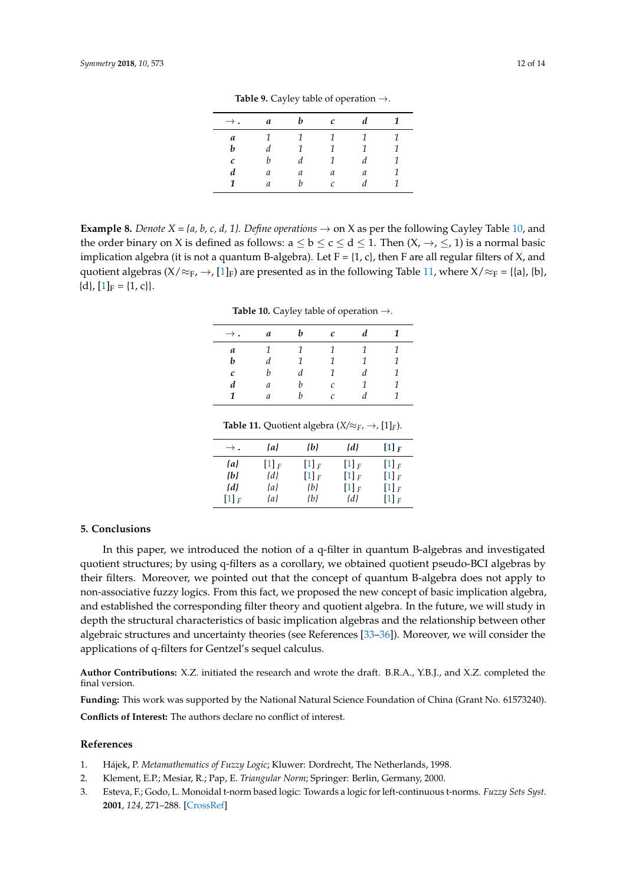<span id="page-11-1"></span>

| $\rightarrow$ . | a             | b              | $\mathcal{C}$  | d |   |
|-----------------|---------------|----------------|----------------|---|---|
| a               | 1             | $\overline{1}$ | $\overline{1}$ | 1 |   |
| b               | d             | 1              | $\mathcal{I}$  | 1 | 1 |
| c               | b             | d              | $\mathcal{I}$  | d |   |
| d               | а             | а              | a              | a |   |
| 1               | $\mathfrak a$ | h              | $\mathcal{C}$  |   |   |
|                 |               |                |                |   |   |

**Table 9.** Cayley table of operation →.

<span id="page-11-2"></span>**Example 8.** *Denote X = {a, b, c, d, 1}. Define operations*  $\rightarrow$  on X as per the following Cayley Table [10,](#page-11-2) and the order binary on X is defined as follows:  $a \le b \le c \le d \le 1$ . Then  $(X, \rightarrow, \le, 1)$  is a normal basic implication algebra (it is not a quantum B-algebra). Let  $F = \{1, c\}$ , then F are all regular filters of X, and quotient algebras ( $X/\approx_F$ ,  $\rightarrow$ , [\[1\]](#page-11-0)<sub>F</sub>) are presented as in the following Table [11,](#page-11-3) where  $X/\approx_F = \{\{a\}, \{b\},\}$  ${d}, [1]_F = {1, c}.$  ${d}, [1]_F = {1, c}.$  ${d}, [1]_F = {1, c}.$ 

**Table 10.** Cayley table of operation →.

| $\rightarrow$ . | a                | b             | с                 | d | 1 |
|-----------------|------------------|---------------|-------------------|---|---|
| a               | 1                | $\mathcal{I}$ | $\mathcal{I}$     | 1 | 1 |
| b               | $\boldsymbol{d}$ | 1             | 1                 | 1 | 1 |
| с               | h                | d             | 1                 | d | 1 |
| d               | a                | h             | $\mathcal{C}_{0}$ | 1 | 1 |
| 1               | a                | h             | C                 | d | 1 |

**Table 11.** Quotient algebra ( $X/\approx_F$ ,  $\rightarrow$ , [1]<sub>*F*</sub>).

| $\rightarrow$ .      | $\{a\}$              | łЫ                   | {d}                  | $[1]_F$              |
|----------------------|----------------------|----------------------|----------------------|----------------------|
| {a}                  | $[1]$ $\overline{F}$ | $[1]$ $\overline{F}$ | $[1]$ $\overline{F}$ | $[1]$ $\overline{F}$ |
| {b}                  | {d}                  | $[1]_F$              | $[1]_F$              | $[1]_F$              |
| {d}                  | {a}                  | {b}                  | $[1]_F$              | $[1]_F$              |
| $[1]$ $\overline{F}$ | {a}                  | {b}                  | {d}                  | $[1]$ $\overline{F}$ |

#### <span id="page-11-3"></span>**5. Conclusions**

In this paper, we introduced the notion of a q-filter in quantum B-algebras and investigated quotient structures; by using q-filters as a corollary, we obtained quotient pseudo-BCI algebras by their filters. Moreover, we pointed out that the concept of quantum B-algebra does not apply to non-associative fuzzy logics. From this fact, we proposed the new concept of basic implication algebra, and established the corresponding filter theory and quotient algebra. In the future, we will study in depth the structural characteristics of basic implication algebras and the relationship between other algebraic structures and uncertainty theories (see References [\[33](#page-12-19)[–36\]](#page-13-0)). Moreover, we will consider the applications of q-filters for Gentzel's sequel calculus.

**Author Contributions:** X.Z. initiated the research and wrote the draft. B.R.A., Y.B.J., and X.Z. completed the final version.

**Funding:** This work was supported by the National Natural Science Foundation of China (Grant No. 61573240). **Conflicts of Interest:** The authors declare no conflict of interest.

#### **References**

- <span id="page-11-0"></span>1. Hájek, P. *Metamathematics of Fuzzy Logic*; Kluwer: Dordrecht, The Netherlands, 1998.
- 2. Klement, E.P.; Mesiar, R.; Pap, E. *Triangular Norm*; Springer: Berlin, Germany, 2000.
- 3. Esteva, F.; Godo, L. Monoidal t-norm based logic: Towards a logic for left-continuous t-norms. *Fuzzy Sets Syst.* **2001**, *124*, 271–288. [\[CrossRef\]](http://dx.doi.org/10.1016/S0165-0114(01)00098-7)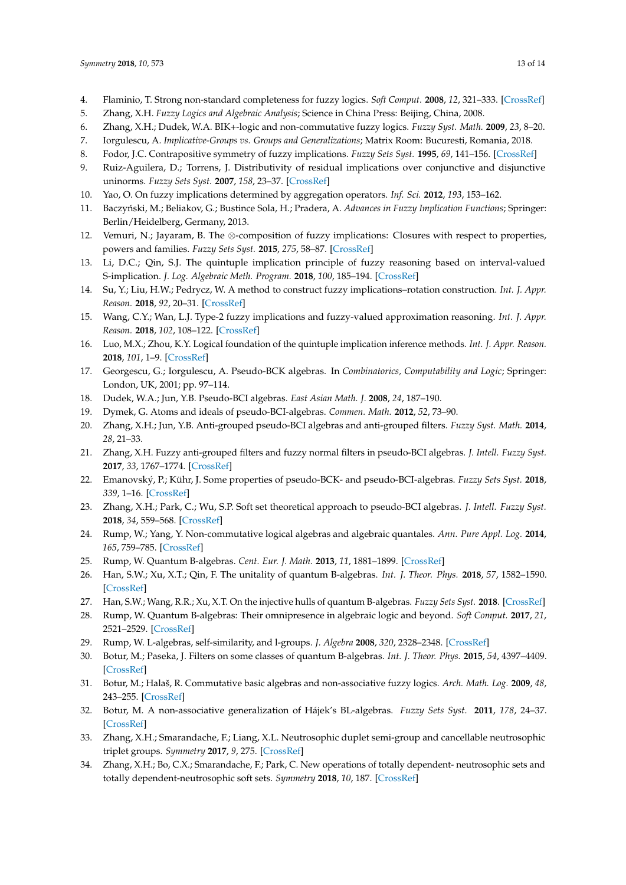- <span id="page-12-14"></span>4. Flaminio, T. Strong non-standard completeness for fuzzy logics. *Soft Comput.* **2008**, *12*, 321–333. [\[CrossRef\]](http://dx.doi.org/10.1007/s00500-007-0184-9)
- <span id="page-12-5"></span>5. Zhang, X.H. *Fuzzy Logics and Algebraic Analysis*; Science in China Press: Beijing, China, 2008.
- <span id="page-12-0"></span>6. Zhang, X.H.; Dudek, W.A. BIK+-logic and non-commutative fuzzy logics. *Fuzzy Syst. Math.* **2009**, *23*, 8–20.
- <span id="page-12-1"></span>7. Iorgulescu, A. *Implicative-Groups vs. Groups and Generalizations*; Matrix Room: Bucuresti, Romania, 2018.
- 8. Fodor, J.C. Contrapositive symmetry of fuzzy implications. *Fuzzy Sets Syst.* **1995**, *69*, 141–156. [\[CrossRef\]](http://dx.doi.org/10.1016/0165-0114(94)00210-X)
- 9. Ruiz-Aguilera, D.; Torrens, J. Distributivity of residual implications over conjunctive and disjunctive uninorms. *Fuzzy Sets Syst.* **2007**, *158*, 23–37. [\[CrossRef\]](http://dx.doi.org/10.1016/j.fss.2006.08.008)
- 10. Yao, O. On fuzzy implications determined by aggregation operators. *Inf. Sci.* **2012**, *193*, 153–162.
- 11. Baczyński, M.; Beliakov, G.; Bustince Sola, H.; Pradera, A. *Advances in Fuzzy Implication Functions*; Springer: Berlin/Heidelberg, Germany, 2013.
- 12. Vemuri, N.; Jayaram, B. The ⊗-composition of fuzzy implications: Closures with respect to properties, powers and families. *Fuzzy Sets Syst.* **2015**, *275*, 58–87. [\[CrossRef\]](http://dx.doi.org/10.1016/j.fss.2014.10.004)
- 13. Li, D.C.; Qin, S.J. The quintuple implication principle of fuzzy reasoning based on interval-valued S-implication. *J. Log. Algebraic Meth. Program.* **2018**, *100*, 185–194. [\[CrossRef\]](http://dx.doi.org/10.1016/j.jlamp.2018.07.001)
- 14. Su, Y.; Liu, H.W.; Pedrycz, W. A method to construct fuzzy implications–rotation construction. *Int. J. Appr. Reason.* **2018**, *92*, 20–31. [\[CrossRef\]](http://dx.doi.org/10.1016/j.ijar.2017.10.003)
- 15. Wang, C.Y.; Wan, L.J. Type-2 fuzzy implications and fuzzy-valued approximation reasoning. *Int. J. Appr. Reason.* **2018**, *102*, 108–122. [\[CrossRef\]](http://dx.doi.org/10.1016/j.ijar.2018.08.004)
- <span id="page-12-2"></span>16. Luo, M.X.; Zhou, K.Y. Logical foundation of the quintuple implication inference methods. *Int. J. Appr. Reason.* **2018**, *101*, 1–9. [\[CrossRef\]](http://dx.doi.org/10.1016/j.ijar.2018.06.001)
- <span id="page-12-3"></span>17. Georgescu, G.; Iorgulescu, A. Pseudo-BCK algebras. In *Combinatorics, Computability and Logic*; Springer: London, UK, 2001; pp. 97–114.
- <span id="page-12-15"></span>18. Dudek, W.A.; Jun, Y.B. Pseudo-BCI algebras. *East Asian Math. J.* **2008**, *24*, 187–190.
- <span id="page-12-18"></span>19. Dymek, G. Atoms and ideals of pseudo-BCI-algebras. *Commen. Math.* **2012**, *52*, 73–90.
- <span id="page-12-16"></span>20. Zhang, X.H.; Jun, Y.B. Anti-grouped pseudo-BCI algebras and anti-grouped filters. *Fuzzy Syst. Math.* **2014**, *28*, 21–33.
- <span id="page-12-17"></span>21. Zhang, X.H. Fuzzy anti-grouped filters and fuzzy normal filters in pseudo-BCI algebras. *J. Intell. Fuzzy Syst.* **2017**, *33*, 1767–1774. [\[CrossRef\]](http://dx.doi.org/10.3233/JIFS-17006)
- 22. Emanovský, P.; Kühr, J. Some properties of pseudo-BCK- and pseudo-BCI-algebras. *Fuzzy Sets Syst.* **2018**, *339*, 1–16. [\[CrossRef\]](http://dx.doi.org/10.1016/j.fss.2016.12.014)
- <span id="page-12-4"></span>23. Zhang, X.H.; Park, C.; Wu, S.P. Soft set theoretical approach to pseudo-BCI algebras. *J. Intell. Fuzzy Syst.* **2018**, *34*, 559–568. [\[CrossRef\]](http://dx.doi.org/10.3233/JIFS-17777)
- <span id="page-12-6"></span>24. Rump, W.; Yang, Y. Non-commutative logical algebras and algebraic quantales. *Ann. Pure Appl. Log.* **2014**, *165*, 759–785. [\[CrossRef\]](http://dx.doi.org/10.1016/j.apal.2013.10.007)
- <span id="page-12-7"></span>25. Rump, W. Quantum B-algebras. *Cent. Eur. J. Math.* **2013**, *11*, 1881–1899. [\[CrossRef\]](http://dx.doi.org/10.2478/s11533-013-0302-0)
- <span id="page-12-8"></span>26. Han, S.W.; Xu, X.T.; Qin, F. The unitality of quantum B-algebras. *Int. J. Theor. Phys.* **2018**, *57*, 1582–1590. [\[CrossRef\]](http://dx.doi.org/10.1007/s10773-018-3683-9)
- 27. Han, S.W.; Wang, R.R.; Xu, X.T. On the injective hulls of quantum B-algebras. *Fuzzy Sets Syst.* **2018**. [\[CrossRef\]](http://dx.doi.org/10.1016/j.fss.2018.05.011)
- <span id="page-12-9"></span>28. Rump, W. Quantum B-algebras: Their omnipresence in algebraic logic and beyond. *Soft Comput.* **2017**, *21*, 2521–2529. [\[CrossRef\]](http://dx.doi.org/10.1007/s00500-017-2570-2)
- <span id="page-12-10"></span>29. Rump, W. L-algebras, self-similarity, and l-groups. *J. Algebra* **2008**, *320*, 2328–2348. [\[CrossRef\]](http://dx.doi.org/10.1016/j.jalgebra.2008.05.033)
- <span id="page-12-11"></span>30. Botur, M.; Paseka, J. Filters on some classes of quantum B-algebras. *Int. J. Theor. Phys.* **2015**, *54*, 4397–4409. [\[CrossRef\]](http://dx.doi.org/10.1007/s10773-015-2608-0)
- <span id="page-12-12"></span>31. Botur, M.; Halaš, R. Commutative basic algebras and non-associative fuzzy logics. *Arch. Math. Log.* **2009**, *48*, 243–255. [\[CrossRef\]](http://dx.doi.org/10.1007/s00153-009-0125-7)
- <span id="page-12-13"></span>32. Botur, M. A non-associative generalization of Hájek's BL-algebras. *Fuzzy Sets Syst.* **2011**, *178*, 24–37. [\[CrossRef\]](http://dx.doi.org/10.1016/j.fss.2011.02.015)
- <span id="page-12-19"></span>33. Zhang, X.H.; Smarandache, F.; Liang, X.L. Neutrosophic duplet semi-group and cancellable neutrosophic triplet groups. *Symmetry* **2017**, *9*, 275. [\[CrossRef\]](http://dx.doi.org/10.3390/sym9110275)
- 34. Zhang, X.H.; Bo, C.X.; Smarandache, F.; Park, C. New operations of totally dependent- neutrosophic sets and totally dependent-neutrosophic soft sets. *Symmetry* **2018**, *10*, 187. [\[CrossRef\]](http://dx.doi.org/10.3390/sym10060187)